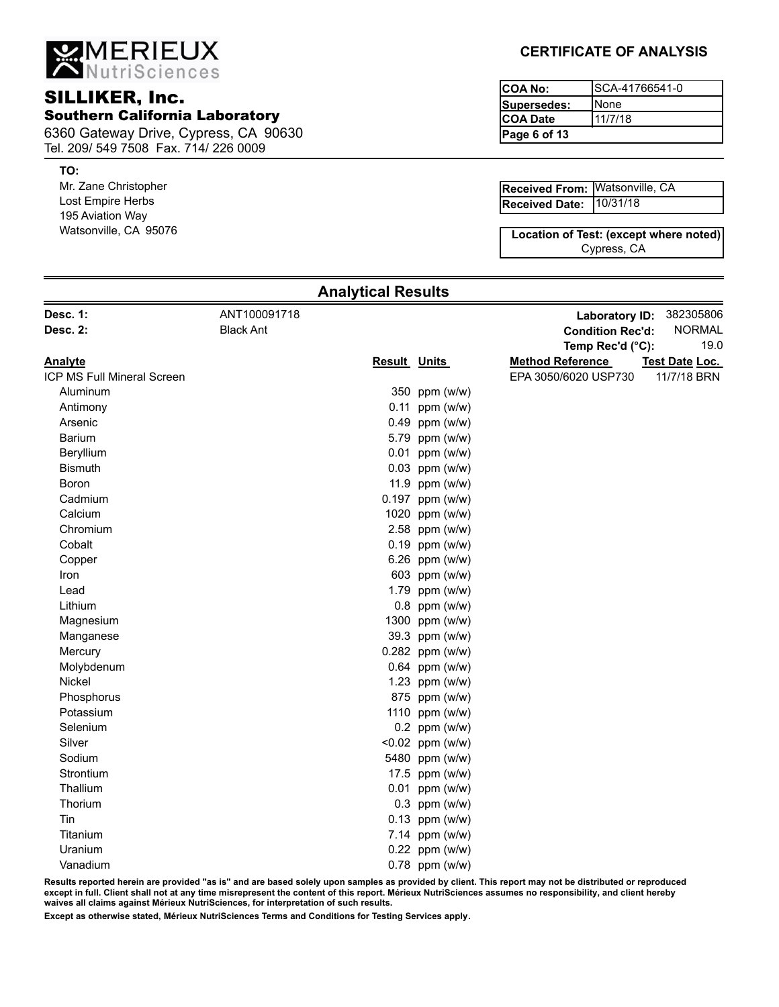MERIEUX

## SILLIKER, Inc. Southern California Laboratory

6360 Gateway Drive, Cypress, CA 90630 Tel. 209/ 549 7508 Fax. 714/ 226 0009

#### **TO:**

Mr. Zane Christopher Lost Empire Herbs 195 Aviation Way Watsonville, CA 95076

## **CERTIFICATE OF ANALYSIS**

| ICOA No:     | ISCA-41766541-0 |
|--------------|-----------------|
| Supersedes:  | <b>I</b> None   |
| ICOA Date    | 11/7/18         |
| Page 6 of 13 |                 |

| Received From: Watsonville, CA |  |
|--------------------------------|--|
| Received Date: 10/31/18        |  |

Cypress, CA **Location of Test: (except where noted)**

|                            |                  | Anary uvar revolto  |                    |                         |                |
|----------------------------|------------------|---------------------|--------------------|-------------------------|----------------|
| Desc. 1:                   | ANT100091718     |                     |                    | <b>Laboratory ID:</b>   | 382305806      |
| Desc. 2:                   | <b>Black Ant</b> |                     |                    | <b>Condition Rec'd:</b> | <b>NORMAL</b>  |
|                            |                  |                     |                    | Temp Rec'd (°C):        | 19.0           |
| <b>Analyte</b>             |                  | <b>Result Units</b> |                    | <b>Method Reference</b> | Test Date Loc. |
| ICP MS Full Mineral Screen |                  |                     |                    | EPA 3050/6020 USP730    | 11/7/18 BRN    |
| Aluminum                   |                  |                     | 350 ppm (w/w)      |                         |                |
| Antimony                   |                  |                     | $0.11$ ppm (w/w)   |                         |                |
| Arsenic                    |                  |                     | $0.49$ ppm (w/w)   |                         |                |
| Barium                     |                  |                     | 5.79 ppm (w/w)     |                         |                |
| Beryllium                  |                  |                     | $0.01$ ppm (w/w)   |                         |                |
| <b>Bismuth</b>             |                  |                     | $0.03$ ppm (w/w)   |                         |                |
| Boron                      |                  |                     | 11.9 ppm $(w/w)$   |                         |                |
| Cadmium                    |                  |                     | $0.197$ ppm (w/w)  |                         |                |
| Calcium                    |                  |                     | 1020 ppm (w/w)     |                         |                |
| Chromium                   |                  |                     | 2.58 ppm (w/w)     |                         |                |
| Cobalt                     |                  |                     | $0.19$ ppm (w/w)   |                         |                |
| Copper                     |                  |                     | 6.26 ppm (w/w)     |                         |                |
| Iron                       |                  |                     | 603 ppm (w/w)      |                         |                |
| Lead                       |                  |                     | 1.79 ppm (w/w)     |                         |                |
| Lithium                    |                  |                     | 0.8 ppm (w/w)      |                         |                |
| Magnesium                  |                  |                     | 1300 ppm (w/w)     |                         |                |
| Manganese                  |                  |                     | 39.3 ppm (w/w)     |                         |                |
| Mercury                    |                  |                     | 0.282 ppm (w/w)    |                         |                |
| Molybdenum                 |                  |                     | 0.64 ppm (w/w)     |                         |                |
| Nickel                     |                  |                     | 1.23 ppm (w/w)     |                         |                |
| Phosphorus                 |                  |                     | 875 ppm (w/w)      |                         |                |
| Potassium                  |                  |                     | 1110 ppm (w/w)     |                         |                |
| Selenium                   |                  |                     | $0.2$ ppm (w/w)    |                         |                |
| Silver                     |                  |                     | $< 0.02$ ppm (w/w) |                         |                |
| Sodium                     |                  |                     | 5480 ppm (w/w)     |                         |                |
| Strontium                  |                  |                     | 17.5 ppm (w/w)     |                         |                |
| Thallium                   |                  |                     | $0.01$ ppm (w/w)   |                         |                |
| Thorium                    |                  |                     | $0.3$ ppm (w/w)    |                         |                |
| Tin                        |                  |                     | $0.13$ ppm (w/w)   |                         |                |
| Titanium                   |                  |                     | 7.14 ppm (w/w)     |                         |                |
| Uranium                    |                  |                     | $0.22$ ppm (w/w)   |                         |                |
| Vanadium                   |                  |                     | 0.78 ppm (w/w)     |                         |                |
|                            |                  |                     |                    |                         |                |

**Analytical Results**

**Results reported herein are provided "as is" and are based solely upon samples as provided by client. This report may not be distributed or reproduced except in full. Client shall not at any time misrepresent the content of this report. Mérieux NutriSciences assumes no responsibility, and client hereby waives all claims against Mérieux NutriSciences, for interpretation of such results.**

**Except as otherwise stated, Mérieux NutriSciences Terms and Conditions for Testing Services apply.**